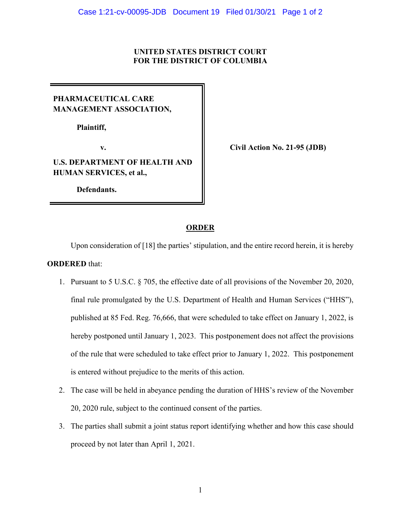#### **UNITED STATES DISTRICT COURT FOR THE DISTRICT OF COLUMBIA**

## **PHARMACEUTICAL CARE MANAGEMENT ASSOCIATION,**

**Plaintiff,**

## **U.S. DEPARTMENT OF HEALTH AND HUMAN SERVICES, et al.,**

 **Defendants.**

**v. Civil Action No. 21-95 (JDB)**

#### **ORDER**

Upon consideration of [18] the parties' stipulation, and the entire record herein, it is hereby **ORDERED** that:

- 1. Pursuant to 5 U.S.C. § 705, the effective date of all provisions of the November 20, 2020, final rule promulgated by the U.S. Department of Health and Human Services ("HHS"), published at 85 Fed. Reg. 76,666, that were scheduled to take effect on January 1, 2022, is hereby postponed until January 1, 2023. This postponement does not affect the provisions of the rule that were scheduled to take effect prior to January 1, 2022. This postponement is entered without prejudice to the merits of this action.
- 2. The case will be held in abeyance pending the duration of HHS's review of the November 20, 2020 rule, subject to the continued consent of the parties.
- 3. The parties shall submit a joint status report identifying whether and how this case should proceed by not later than April 1, 2021.